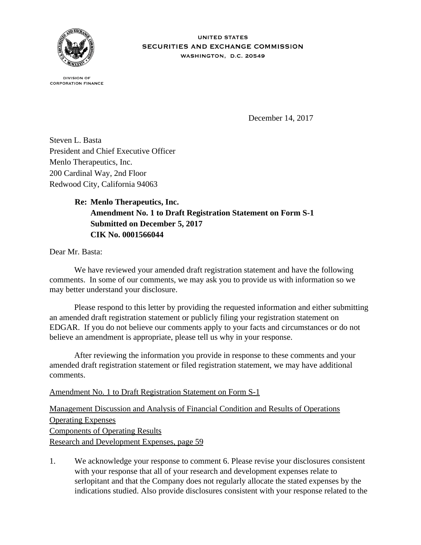

**UNITED STATES** SECURITIES AND EXCHANGE COMMISSION WASHINGTON, D.C. 20549

**DIVISION OF CORPORATION FINANCE** 

December 14, 2017

Steven L. Basta President and Chief Executive Officer Menlo Therapeutics, Inc. 200 Cardinal Way, 2nd Floor Redwood City, California 94063

## **Re: Menlo Therapeutics, Inc. Amendment No. 1 to Draft Registration Statement on Form S-1 Submitted on December 5, 2017 CIK No. 0001566044**

Dear Mr. Basta:

We have reviewed your amended draft registration statement and have the following comments. In some of our comments, we may ask you to provide us with information so we may better understand your disclosure.

 Please respond to this letter by providing the requested information and either submitting an amended draft registration statement or publicly filing your registration statement on EDGAR. If you do not believe our comments apply to your facts and circumstances or do not believe an amendment is appropriate, please tell us why in your response.

 After reviewing the information you provide in response to these comments and your amended draft registration statement or filed registration statement, we may have additional comments.

Amendment No. 1 to Draft Registration Statement on Form S-1

Management Discussion and Analysis of Financial Condition and Results of Operations Operating Expenses Components of Operating Results Research and Development Expenses, page 59

1. We acknowledge your response to comment 6. Please revise your disclosures consistent with your response that all of your research and development expenses relate to serlopitant and that the Company does not regularly allocate the stated expenses by the indications studied. Also provide disclosures consistent with your response related to the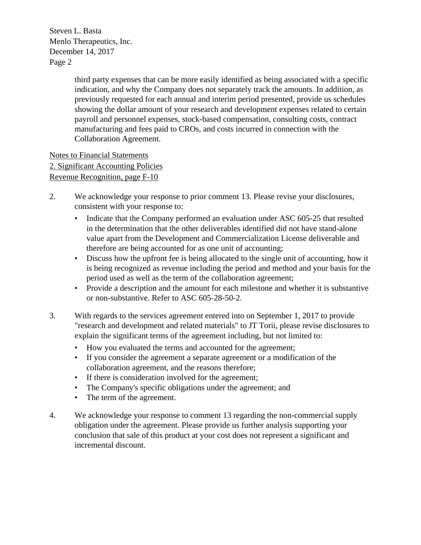$\frac{1}{2}$  Menlo Therapeutics, Inc. December 14, 2017 Page 2 Steven L. Basta

> third party expenses that can be more easily identified as being associated with a specific indication, and why the Company does not separately track the amounts. In addition, as previously requested for each annual and interim period presented, provide us schedules showing the dollar amount of your research and development expenses related to certain payroll and personnel expenses, stock-based compensation, consulting costs, contract manufacturing and fees paid to CROs, and costs incurred in connection with the Collaboration Agreement.

Notes to Financial Statements 2. Significant Accounting Policies Revenue Recognition, page F-10

- 2. We acknowledge your response to prior comment 13. Please revise your disclosures, consistent with your response to:
	- Indicate that the Company performed an evaluation under ASC 605-25 that resulted in the determination that the other deliverables identified did not have stand-alone value apart from the Development and Commercialization License deliverable and therefore are being accounted for as one unit of accounting;
	- Discuss how the upfront fee is being allocated to the single unit of accounting, how it is being recognized as revenue including the period and method and your basis for the period used as well as the term of the collaboration agreement;
	- Provide a description and the amount for each milestone and whether it is substantive or non-substantive. Refer to ASC 605-28-50-2.
- 3. With regards to the services agreement entered into on September 1, 2017 to provide "research and development and related materials" to JT Torii, please revise disclosures to explain the significant terms of the agreement including, but not limited to:
	- How you evaluated the terms and accounted for the agreement;
	- If you consider the agreement a separate agreement or a modification of the collaboration agreement, and the reasons therefore;
	- If there is consideration involved for the agreement;
	- The Company's specific obligations under the agreement; and
	- The term of the agreement.
- 4. We acknowledge your response to comment 13 regarding the non-commercial supply obligation under the agreement. Please provide us further analysis supporting your conclusion that sale of this product at your cost does not represent a significant and incremental discount.